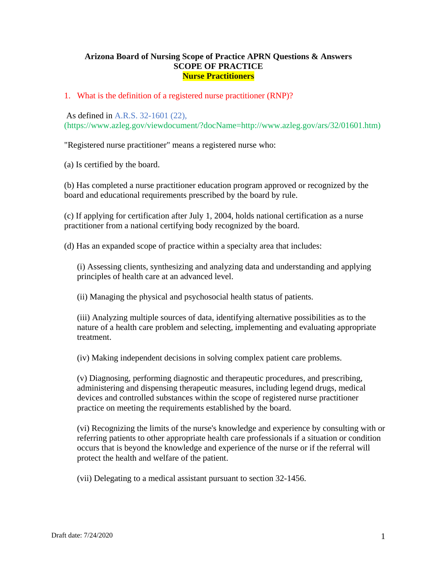### **Arizona Board of Nursing Scope of Practice APRN Questions & Answers SCOPE OF PRACTICE Nurse Practitioners**

### 1. What is the definition of a registered nurse practitioner (RNP)?

As defined in A.R.S. 32-1601 (22), (https://www.azleg.gov/viewdocument/?docName=http://www.azleg.gov/ars/32/01601.htm)

"Registered nurse practitioner" means a registered nurse who:

(a) Is certified by the board.

(b) Has completed a nurse practitioner education program approved or recognized by the board and educational requirements prescribed by the board by rule.

(c) If applying for certification after July 1, 2004, holds national certification as a nurse practitioner from a national certifying body recognized by the board.

(d) Has an expanded scope of practice within a specialty area that includes:

(i) Assessing clients, synthesizing and analyzing data and understanding and applying principles of health care at an advanced level.

(ii) Managing the physical and psychosocial health status of patients.

(iii) Analyzing multiple sources of data, identifying alternative possibilities as to the nature of a health care problem and selecting, implementing and evaluating appropriate treatment.

(iv) Making independent decisions in solving complex patient care problems.

(v) Diagnosing, performing diagnostic and therapeutic procedures, and prescribing, administering and dispensing therapeutic measures, including legend drugs, medical devices and controlled substances within the scope of registered nurse practitioner practice on meeting the requirements established by the board.

(vi) Recognizing the limits of the nurse's knowledge and experience by consulting with or referring patients to other appropriate health care professionals if a situation or condition occurs that is beyond the knowledge and experience of the nurse or if the referral will protect the health and welfare of the patient.

(vii) Delegating to a medical assistant pursuant to section 32-1456.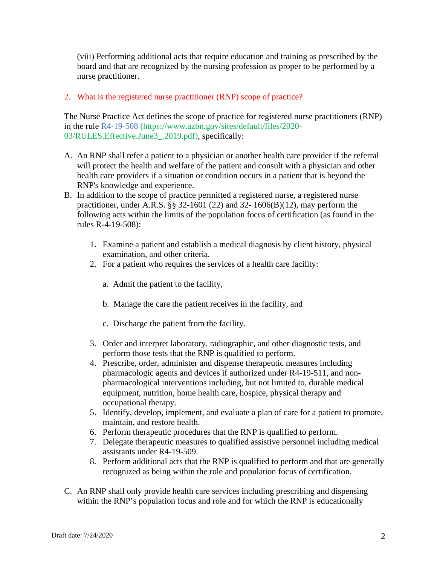(viii) Performing additional acts that require education and training as prescribed by the board and that are recognized by the nursing profession as proper to be performed by a nurse practitioner.

# 2. What is the registered nurse practitioner (RNP) scope of practice?

The Nurse Practice Act defines the scope of practice for registered nurse practitioners (RNP) in the rule R4-19-508 (https://www.azbn.gov/sites/default/files/2020- 03/RULES.Effective.June3\_.2019.pdf), specifically:

- A. An RNP shall refer a patient to a physician or another health care provider if the referral will protect the health and welfare of the patient and consult with a physician and other health care providers if a situation or condition occurs in a patient that is beyond the RNP's knowledge and experience.
- B. In addition to the scope of practice permitted a registered nurse, a registered nurse practitioner, under A.R.S.  $\S$ § 32-1601 (22) and 32- 1606(B)(12), may perform the following acts within the limits of the population focus of certification (as found in the rules R-4-19-508):
	- 1. Examine a patient and establish a medical diagnosis by client history, physical examination, and other criteria.
	- 2. For a patient who requires the services of a health care facility:
		- a. Admit the patient to the facility,
		- b. Manage the care the patient receives in the facility, and
		- c. Discharge the patient from the facility.
	- 3. Order and interpret laboratory, radiographic, and other diagnostic tests, and perform those tests that the RNP is qualified to perform.
	- 4. Prescribe, order, administer and dispense therapeutic measures including pharmacologic agents and devices if authorized under R4-19-511, and nonpharmacological interventions including, but not limited to, durable medical equipment, nutrition, home health care, hospice, physical therapy and occupational therapy.
	- 5. Identify, develop, implement, and evaluate a plan of care for a patient to promote, maintain, and restore health.
	- 6. Perform therapeutic procedures that the RNP is qualified to perform.
	- 7. Delegate therapeutic measures to qualified assistive personnel including medical assistants under R4-19-509.
	- 8. Perform additional acts that the RNP is qualified to perform and that are generally recognized as being within the role and population focus of certification.
- C. An RNP shall only provide health care services including prescribing and dispensing within the RNP's population focus and role and for which the RNP is educationally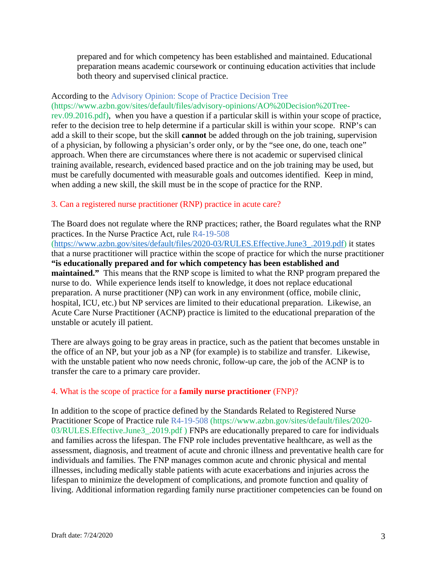prepared and for which competency has been established and maintained. Educational preparation means academic coursework or continuing education activities that include both theory and supervised clinical practice.

## According to the Advisory Opinion: Scope of Practice Decision Tree (https://www.azbn.gov/sites/default/files/advisory-opinions/AO%20Decision%20Tree-

rev.09.2016.pdf), when you have a question if a particular skill is within your scope of practice, refer to the decision tree to help determine if a particular skill is within your scope. RNP's can add a skill to their scope, but the skill **cannot** be added through on the job training, supervision of a physician, by following a physician's order only, or by the "see one, do one, teach one" approach. When there are circumstances where there is not academic or supervised clinical training available, research, evidenced based practice and on the job training may be used, but must be carefully documented with measurable goals and outcomes identified. Keep in mind, when adding a new skill, the skill must be in the scope of practice for the RNP.

## 3. Can a registered nurse practitioner (RNP) practice in acute care?

The Board does not regulate where the RNP practices; rather, the Board regulates what the RNP practices. In the Nurse Practice Act, rule R4-19-508

[\(https://www.azbn.gov/sites/default/files/2020-03/RULES.Effective.June3\\_.2019.pdf\)](https://www.azbn.gov/sites/default/files/2020-03/RULES.Effective.June3_.2019.pdf) it states that a nurse practitioner will practice within the scope of practice for which the nurse practitioner **"is educationally prepared and for which competency has been established and maintained."** This means that the RNP scope is limited to what the RNP program prepared the nurse to do. While experience lends itself to knowledge, it does not replace educational preparation. A nurse practitioner (NP) can work in any environment (office, mobile clinic, hospital, ICU, etc.) but NP services are limited to their educational preparation. Likewise, an Acute Care Nurse Practitioner (ACNP) practice is limited to the educational preparation of the unstable or acutely ill patient.

There are always going to be gray areas in practice, such as the patient that becomes unstable in the office of an NP, but your job as a NP (for example) is to stabilize and transfer. Likewise, with the unstable patient who now needs chronic, follow-up care, the job of the ACNP is to transfer the care to a primary care provider.

### 4. What is the scope of practice for a **family nurse practitioner** (FNP)?

In addition to the scope of practice defined by the Standards Related to Registered Nurse Practitioner Scope of Practice rule R4-19-508 (https://www.azbn.gov/sites/default/files/2020- 03/RULES.Effective.June3\_.2019.pdf ) FNPs are educationally prepared to care for individuals and families across the lifespan. The FNP role includes preventative healthcare, as well as the assessment, diagnosis, and treatment of acute and chronic illness and preventative health care for individuals and families. The FNP manages common acute and chronic physical and mental illnesses, including medically stable patients with acute exacerbations and injuries across the lifespan to minimize the development of complications, and promote function and quality of living. Additional information regarding family nurse practitioner competencies can be found on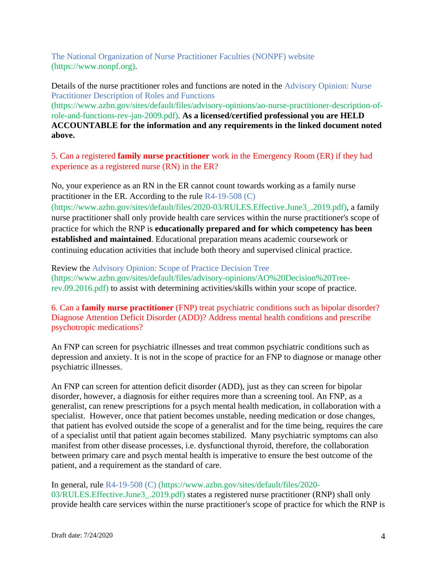The National Organization of Nurse Practitioner Faculties (NONPF) website (https://www.nonpf.org).

Details of the nurse practitioner roles and functions are noted in the Advisory Opinion: Nurse Practitioner Description of Roles and Functions

(https://www.azbn.gov/sites/default/files/advisory-opinions/ao-nurse-practitioner-description-ofrole-and-functions-rev-jan-2009.pdf). **As a licensed/certified professional you are HELD ACCOUNTABLE for the information and any requirements in the linked document noted above.**

5. Can a registered **family nurse practitioner** work in the Emergency Room (ER) if they had experience as a registered nurse (RN) in the ER?

No, your experience as an RN in the ER cannot count towards working as a family nurse practitioner in the ER. According to the rule R4-19-508 (C)

(https://www.azbn.gov/sites/default/files/2020-03/RULES.Effective.June3\_.2019.pdf), a family nurse practitioner shall only provide health care services within the nurse practitioner's scope of practice for which the RNP is **educationally prepared and for which competency has been established and maintained**. Educational preparation means academic coursework or continuing education activities that include both theory and supervised clinical practice.

Review the Advisory Opinion: Scope of Practice Decision Tree (https://www.azbn.gov/sites/default/files/advisory-opinions/AO%20Decision%20Treerev.09.2016.pdf) to assist with determining activities/skills within your scope of practice.

6. Can a **family nurse practitioner** (FNP) treat psychiatric conditions such as bipolar disorder? Diagnose Attention Deficit Disorder (ADD)? Address mental health conditions and prescribe psychotropic medications?

An FNP can screen for psychiatric illnesses and treat common psychiatric conditions such as depression and anxiety. It is not in the scope of practice for an FNP to diagnose or manage other psychiatric illnesses.

An FNP can screen for attention deficit disorder (ADD), just as they can screen for bipolar disorder, however, a diagnosis for either requires more than a screening tool. An FNP, as a generalist, can renew prescriptions for a psych mental health medication, in collaboration with a specialist. However, once that patient becomes unstable, needing medication or dose changes, that patient has evolved outside the scope of a generalist and for the time being, requires the care of a specialist until that patient again becomes stabilized. Many psychiatric symptoms can also manifest from other disease processes, i.e. dysfunctional thyroid, therefore, the collaboration between primary care and psych mental health is imperative to ensure the best outcome of the patient, and a requirement as the standard of care.

In general, rule R4-19-508 (C) (https://www.azbn.gov/sites/default/files/2020- 03/RULES.Effective.June3\_.2019.pdf) states a registered nurse practitioner (RNP) shall only provide health care services within the nurse practitioner's scope of practice for which the RNP is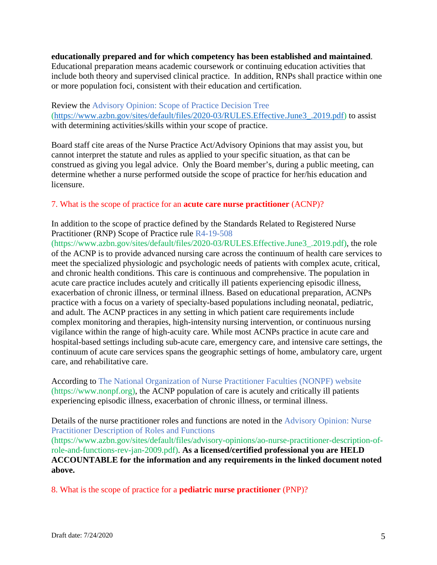#### **educationally prepared and for which competency has been established and maintained**.

Educational preparation means academic coursework or continuing education activities that include both theory and supervised clinical practice. In addition, RNPs shall practice within one or more population foci, consistent with their education and certification.

Review the Advisory Opinion: Scope of Practice Decision Tree [\(https://www.azbn.gov/sites/default/files/2020-03/RULES.Effective.June3\\_.2019.pdf\)](https://www.azbn.gov/sites/default/files/2020-03/RULES.Effective.June3_.2019.pdf) to assist with determining activities/skills within your scope of practice.

Board staff cite areas of the Nurse Practice Act/Advisory Opinions that may assist you, but cannot interpret the statute and rules as applied to your specific situation, as that can be construed as giving you legal advice. Only the Board member's, during a public meeting, can determine whether a nurse performed outside the scope of practice for her/his education and licensure.

### 7. What is the scope of practice for an **acute care nurse practitioner** (ACNP)?

In addition to the scope of practice defined by the Standards Related to Registered Nurse Practitioner (RNP) Scope of Practice rule R4-19-508

(https://www.azbn.gov/sites/default/files/2020-03/RULES.Effective.June3\_.2019.pdf), the role of the ACNP is to provide advanced nursing care across the continuum of health care services to meet the specialized physiologic and psychologic needs of patients with complex acute, critical, and chronic health conditions. This care is continuous and comprehensive. The population in acute care practice includes acutely and critically ill patients experiencing episodic illness, exacerbation of chronic illness, or terminal illness. Based on educational preparation, ACNPs practice with a focus on a variety of specialty-based populations including neonatal, pediatric, and adult. The ACNP practices in any setting in which patient care requirements include complex monitoring and therapies, high-intensity nursing intervention, or continuous nursing vigilance within the range of high-acuity care. While most ACNPs practice in acute care and hospital-based settings including sub-acute care, emergency care, and intensive care settings, the continuum of acute care services spans the geographic settings of home, ambulatory care, urgent care, and rehabilitative care.

According to The National Organization of Nurse Practitioner Faculties (NONPF) website (https://www.nonpf.org), the ACNP population of care is acutely and critically ill patients experiencing episodic illness, exacerbation of chronic illness, or terminal illness.

Details of the nurse practitioner roles and functions are noted in the Advisory Opinion: Nurse Practitioner Description of Roles and Functions

(https://www.azbn.gov/sites/default/files/advisory-opinions/ao-nurse-practitioner-description-ofrole-and-functions-rev-jan-2009.pdf). **As a licensed/certified professional you are HELD ACCOUNTABLE for the information and any requirements in the linked document noted above.**

8. What is the scope of practice for a **pediatric nurse practitioner** (PNP)?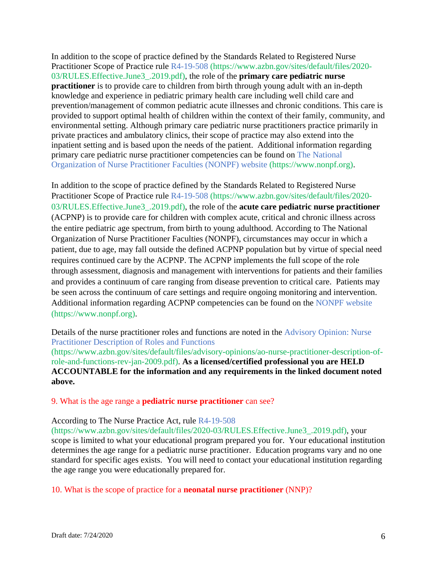In addition to the scope of practice defined by the Standards Related to Registered Nurse Practitioner Scope of Practice rule R4-19-508 (https://www.azbn.gov/sites/default/files/2020- 03/RULES.Effective.June3\_.2019.pdf), the role of the **primary care pediatric nurse practitioner** is to provide care to children from birth through young adult with an in-depth knowledge and experience in pediatric primary health care including well child care and prevention/management of common pediatric acute illnesses and chronic conditions. This care is provided to support optimal health of children within the context of their family, community, and environmental setting. Although primary care pediatric nurse practitioners practice primarily in private practices and ambulatory clinics, their scope of practice may also extend into the inpatient setting and is based upon the needs of the patient. Additional information regarding primary care pediatric nurse practitioner competencies can be found on The National Organization of Nurse Practitioner Faculties (NONPF) website (https://www.nonpf.org).

In addition to the scope of practice defined by the Standards Related to Registered Nurse Practitioner Scope of Practice rule R4-19-508 (https://www.azbn.gov/sites/default/files/2020- 03/RULES.Effective.June3\_.2019.pdf), the role of the **acute care pediatric nurse practitioner**  (ACPNP) is to provide care for children with complex acute, critical and chronic illness across the entire pediatric age spectrum, from birth to young adulthood. According to The National Organization of Nurse Practitioner Faculties (NONPF), circumstances may occur in which a patient, due to age, may fall outside the defined ACPNP population but by virtue of special need requires continued care by the ACPNP. The ACPNP implements the full scope of the role through assessment, diagnosis and management with interventions for patients and their families and provides a continuum of care ranging from disease prevention to critical care. Patients may be seen across the continuum of care settings and require ongoing monitoring and intervention. Additional information regarding ACPNP competencies can be found on the NONPF website (https://www.nonpf.org).

Details of the nurse practitioner roles and functions are noted in the Advisory Opinion: Nurse Practitioner Description of Roles and Functions (https://www.azbn.gov/sites/default/files/advisory-opinions/ao-nurse-practitioner-description-ofrole-and-functions-rev-jan-2009.pdf). **As a licensed/certified professional you are HELD ACCOUNTABLE for the information and any requirements in the linked document noted above.**

9. What is the age range a **pediatric nurse practitioner** can see?

### According to The Nurse Practice Act, rule R4-19-508

(https://www.azbn.gov/sites/default/files/2020-03/RULES.Effective.June3\_.2019.pdf), your scope is limited to what your educational program prepared you for. Your educational institution determines the age range for a pediatric nurse practitioner. Education programs vary and no one standard for specific ages exists. You will need to contact your educational institution regarding the age range you were educationally prepared for.

10. What is the scope of practice for a **neonatal nurse practitioner** (NNP)?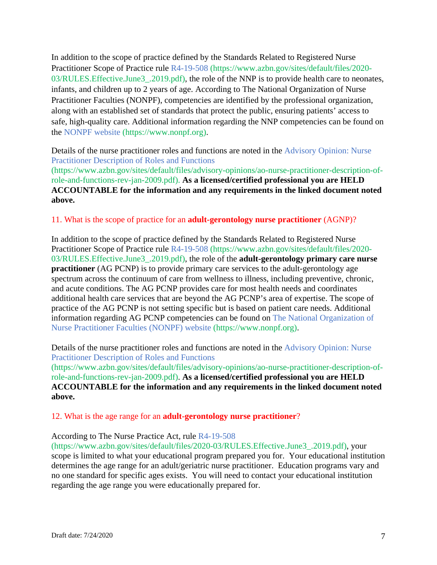In addition to the scope of practice defined by the Standards Related to Registered Nurse Practitioner Scope of Practice rule R4-19-508 (https://www.azbn.gov/sites/default/files/2020- 03/RULES. Effective. June 3. 2019.pdf), the role of the NNP is to provide health care to neonates, infants, and children up to 2 years of age. According to The National Organization of Nurse Practitioner Faculties (NONPF), competencies are identified by the professional organization, along with an established set of standards that protect the public, ensuring patients' access to safe, high-quality care. Additional information regarding the NNP competencies can be found on the NONPF website (https://www.nonpf.org).

Details of the nurse practitioner roles and functions are noted in the Advisory Opinion: Nurse Practitioner Description of Roles and Functions

(https://www.azbn.gov/sites/default/files/advisory-opinions/ao-nurse-practitioner-description-ofrole-and-functions-rev-jan-2009.pdf). **As a licensed/certified professional you are HELD ACCOUNTABLE for the information and any requirements in the linked document noted above.**

#### 11. What is the scope of practice for an **adult-gerontology nurse practitioner** (AGNP)?

In addition to the scope of practice defined by the Standards Related to Registered Nurse Practitioner Scope of Practice rule R4-19-508 (https://www.azbn.gov/sites/default/files/2020- 03/RULES.Effective.June3\_.2019.pdf), the role of the **adult-gerontology primary care nurse practitioner** (AG PCNP) is to provide primary care services to the adult-gerontology age spectrum across the continuum of care from wellness to illness, including preventive, chronic, and acute conditions. The AG PCNP provides care for most health needs and coordinates additional health care services that are beyond the AG PCNP's area of expertise. The scope of practice of the AG PCNP is not setting specific but is based on patient care needs. Additional information regarding AG PCNP competencies can be found on The National Organization of Nurse Practitioner Faculties (NONPF) website (https://www.nonpf.org).

Details of the nurse practitioner roles and functions are noted in the Advisory Opinion: Nurse Practitioner Description of Roles and Functions

(https://www.azbn.gov/sites/default/files/advisory-opinions/ao-nurse-practitioner-description-ofrole-and-functions-rev-jan-2009.pdf). **As a licensed/certified professional you are HELD ACCOUNTABLE for the information and any requirements in the linked document noted above.**

#### 12. What is the age range for an **adult-gerontology nurse practitioner**?

#### According to The Nurse Practice Act, rule R4-19-508

(https://www.azbn.gov/sites/default/files/2020-03/RULES.Effective.June3\_.2019.pdf), your scope is limited to what your educational program prepared you for. Your educational institution determines the age range for an adult/geriatric nurse practitioner. Education programs vary and no one standard for specific ages exists. You will need to contact your educational institution regarding the age range you were educationally prepared for.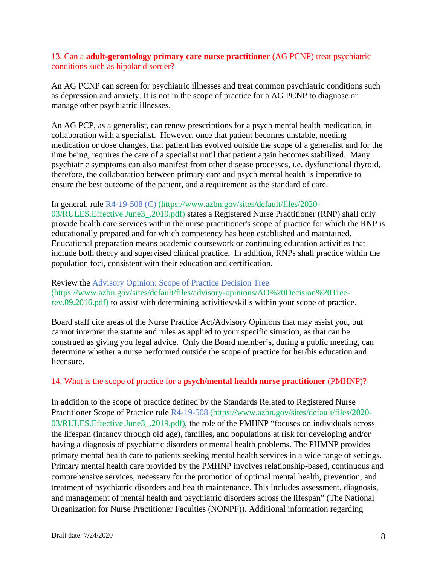### 13. Can a **adult-gerontology primary care nurse practitioner** (AG PCNP) treat psychiatric conditions such as bipolar disorder?

An AG PCNP can screen for psychiatric illnesses and treat common psychiatric conditions such as depression and anxiety. It is not in the scope of practice for a AG PCNP to diagnose or manage other psychiatric illnesses.

An AG PCP, as a generalist, can renew prescriptions for a psych mental health medication, in collaboration with a specialist. However, once that patient becomes unstable, needing medication or dose changes, that patient has evolved outside the scope of a generalist and for the time being, requires the care of a specialist until that patient again becomes stabilized. Many psychiatric symptoms can also manifest from other disease processes, i.e. dysfunctional thyroid, therefore, the collaboration between primary care and psych mental health is imperative to ensure the best outcome of the patient, and a requirement as the standard of care.

### In general, rule R4-19-508 (C) (https://www.azbn.gov/sites/default/files/2020-

03/RULES.Effective.June3\_.2019.pdf) states a Registered Nurse Practitioner (RNP) shall only provide health care services within the nurse practitioner's scope of practice for which the RNP is educationally prepared and for which competency has been established and maintained. Educational preparation means academic coursework or continuing education activities that include both theory and supervised clinical practice. In addition, RNPs shall practice within the population foci, consistent with their education and certification.

Review the Advisory Opinion: Scope of Practice Decision Tree (https://www.azbn.gov/sites/default/files/advisory-opinions/AO%20Decision%20Treerev.09.2016.pdf) to assist with determining activities/skills within your scope of practice.

Board staff cite areas of the Nurse Practice Act/Advisory Opinions that may assist you, but cannot interpret the statute and rules as applied to your specific situation, as that can be construed as giving you legal advice. Only the Board member's, during a public meeting, can determine whether a nurse performed outside the scope of practice for her/his education and licensure.

### 14. What is the scope of practice for a **psych/mental health nurse practitioner** (PMHNP)?

In addition to the scope of practice defined by the Standards Related to Registered Nurse Practitioner Scope of Practice rule R4-19-508 (https://www.azbn.gov/sites/default/files/2020- 03/RULES.Effective.June3\_.2019.pdf), the role of the PMHNP "focuses on individuals across the lifespan (infancy through old age), families, and populations at risk for developing and/or having a diagnosis of psychiatric disorders or mental health problems. The PHMNP provides primary mental health care to patients seeking mental health services in a wide range of settings. Primary mental health care provided by the PMHNP involves relationship-based, continuous and comprehensive services, necessary for the promotion of optimal mental health, prevention, and treatment of psychiatric disorders and health maintenance. This includes assessment, diagnosis, and management of mental health and psychiatric disorders across the lifespan" (The National Organization for Nurse Practitioner Faculties (NONPF)). Additional information regarding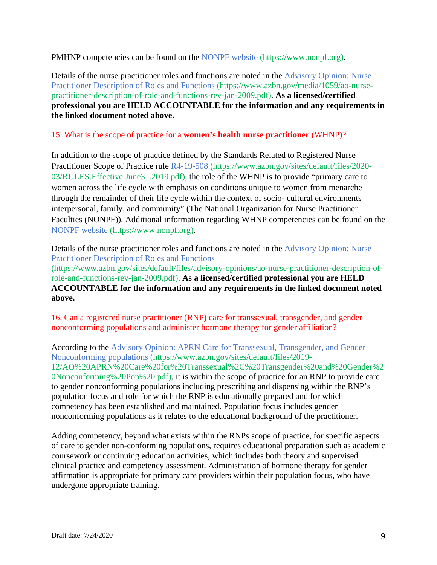PMHNP competencies can be found on the NONPF website (https://www.nonpf.org).

Details of the nurse practitioner roles and functions are noted in the Advisory Opinion: Nurse Practitioner Description of Roles and Functions (https://www.azbn.gov/media/1059/ao-nursepractitioner-description-of-role-and-functions-rev-jan-2009.pdf). **As a licensed/certified professional you are HELD ACCOUNTABLE for the information and any requirements in the linked document noted above.**

# 15. What is the scope of practice for a **women's health nurse practitioner** (WHNP)?

In addition to the scope of practice defined by the Standards Related to Registered Nurse Practitioner Scope of Practice rule R4-19-508 (https://www.azbn.gov/sites/default/files/2020- 03/RULES.Effective.June3\_.2019.pdf), the role of the WHNP is to provide "primary care to women across the life cycle with emphasis on conditions unique to women from menarche through the remainder of their life cycle within the context of socio- cultural environments – interpersonal, family, and community" (The National Organization for Nurse Practitioner Faculties (NONPF)). Additional information regarding WHNP competencies can be found on the NONPF website (https://www.nonpf.org).

Details of the nurse practitioner roles and functions are noted in the Advisory Opinion: Nurse Practitioner Description of Roles and Functions (https://www.azbn.gov/sites/default/files/advisory-opinions/ao-nurse-practitioner-description-ofrole-and-functions-rev-jan-2009.pdf). **As a licensed/certified professional you are HELD ACCOUNTABLE for the information and any requirements in the linked document noted above.**

16. Can a registered nurse practitioner (RNP) care for transsexual, transgender, and gender nonconforming populations and administer hormone therapy for gender affiliation?

According to the Advisory Opinion: APRN Care for Transsexual, Transgender, and Gender Nonconforming populations (https://www.azbn.gov/sites/default/files/2019- 12/AO%20APRN%20Care%20for%20Transsexual%2C%20Transgender%20and%20Gender%2 0Nonconforming%20Pop%20.pdf), it is within the scope of practice for an RNP to provide care to gender nonconforming populations including prescribing and dispensing within the RNP's population focus and role for which the RNP is educationally prepared and for which competency has been established and maintained. Population focus includes gender nonconforming populations as it relates to the educational background of the practitioner.

Adding competency, beyond what exists within the RNPs scope of practice, for specific aspects of care to gender non-conforming populations, requires educational preparation such as academic coursework or continuing education activities, which includes both theory and supervised clinical practice and competency assessment. Administration of hormone therapy for gender affirmation is appropriate for primary care providers within their population focus, who have undergone appropriate training.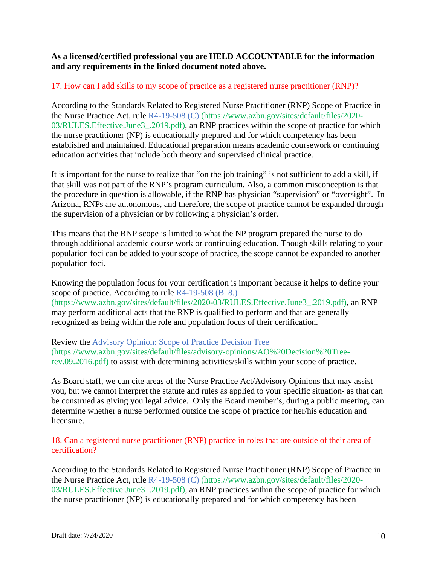## **As a licensed/certified professional you are HELD ACCOUNTABLE for the information and any requirements in the linked document noted above.**

# 17. How can I add skills to my scope of practice as a registered nurse practitioner (RNP)?

According to the Standards Related to Registered Nurse Practitioner (RNP) Scope of Practice in the Nurse Practice Act, rule R4-19-508 (C) (https://www.azbn.gov/sites/default/files/2020- 03/RULES.Effective.June3\_.2019.pdf), an RNP practices within the scope of practice for which the nurse practitioner (NP) is educationally prepared and for which competency has been established and maintained. Educational preparation means academic coursework or continuing education activities that include both theory and supervised clinical practice.

It is important for the nurse to realize that "on the job training" is not sufficient to add a skill, if that skill was not part of the RNP's program curriculum. Also, a common misconception is that the procedure in question is allowable, if the RNP has physician "supervision" or "oversight". In Arizona, RNPs are autonomous, and therefore, the scope of practice cannot be expanded through the supervision of a physician or by following a physician's order.

This means that the RNP scope is limited to what the NP program prepared the nurse to do through additional academic course work or continuing education. Though skills relating to your population foci can be added to your scope of practice, the scope cannot be expanded to another population foci.

Knowing the population focus for your certification is important because it helps to define your scope of practice. According to rule R4-19-508 (B. 8.) (https://www.azbn.gov/sites/default/files/2020-03/RULES.Effective.June3\_.2019.pdf), an RNP may perform additional acts that the RNP is qualified to perform and that are generally recognized as being within the role and population focus of their certification.

Review the Advisory Opinion: Scope of Practice Decision Tree (https://www.azbn.gov/sites/default/files/advisory-opinions/AO%20Decision%20Treerev.09.2016.pdf) to assist with determining activities/skills within your scope of practice.

As Board staff, we can cite areas of the Nurse Practice Act/Advisory Opinions that may assist you, but we cannot interpret the statute and rules as applied to your specific situation- as that can be construed as giving you legal advice. Only the Board member's, during a public meeting, can determine whether a nurse performed outside the scope of practice for her/his education and licensure.

## 18. Can a registered nurse practitioner (RNP) practice in roles that are outside of their area of certification?

According to the Standards Related to Registered Nurse Practitioner (RNP) Scope of Practice in the Nurse Practice Act, rule R4-19-508 (C) (https://www.azbn.gov/sites/default/files/2020- 03/RULES.Effective.June3\_.2019.pdf), an RNP practices within the scope of practice for which the nurse practitioner (NP) is educationally prepared and for which competency has been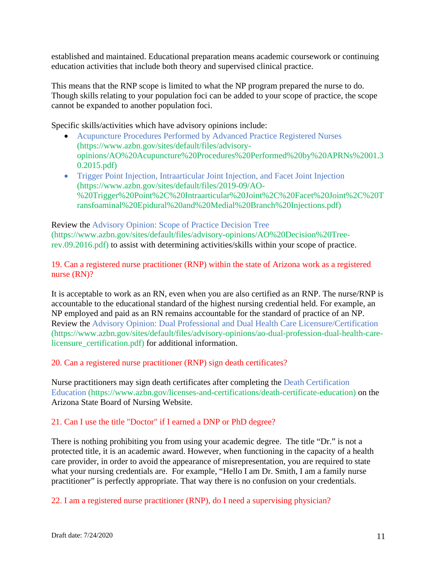established and maintained. Educational preparation means academic coursework or continuing education activities that include both theory and supervised clinical practice.

This means that the RNP scope is limited to what the NP program prepared the nurse to do. Though skills relating to your population foci can be added to your scope of practice, the scope cannot be expanded to another population foci.

Specific skills/activities which have advisory opinions include:

- Acupuncture Procedures Performed by Advanced Practice Registered Nurses (https://www.azbn.gov/sites/default/files/advisoryopinions/AO%20Acupuncture%20Procedures%20Performed%20by%20APRNs%2001.3 0.2015.pdf)
- Trigger Point Injection, Intraarticular Joint Injection, and Facet Joint Injection (https://www.azbn.gov/sites/default/files/2019-09/AO- %20Trigger%20Point%2C%20Intraarticular%20Joint%2C%20Facet%20Joint%2C%20T ransfoaminal%20Epidural%20and%20Medial%20Branch%20Injections.pdf)

Review the Advisory Opinion: Scope of Practice Decision Tree (https://www.azbn.gov/sites/default/files/advisory-opinions/AO%20Decision%20Treerev.09.2016.pdf) to assist with determining activities/skills within your scope of practice.

19. Can a registered nurse practitioner (RNP) within the state of Arizona work as a registered nurse (RN)?

It is acceptable to work as an RN, even when you are also certified as an RNP. The nurse/RNP is accountable to the educational standard of the highest nursing credential held. For example, an NP employed and paid as an RN remains accountable for the standard of practice of an NP. Review the Advisory Opinion: Dual Professional and Dual Health Care Licensure/Certification (https://www.azbn.gov/sites/default/files/advisory-opinions/ao-dual-profession-dual-health-carelicensure\_certification.pdf) for additional information.

20. Can a registered nurse practitioner (RNP) sign death certificates?

Nurse practitioners may sign death certificates after completing the Death Certification Education (https://www.azbn.gov/licenses-and-certifications/death-certificate-education) on the Arizona State Board of Nursing Website.

# 21. Can I use the title "Doctor" if I earned a DNP or PhD degree?

There is nothing prohibiting you from using your academic degree. The title "Dr." is not a protected title, it is an academic award. However, when functioning in the capacity of a health care provider, in order to avoid the appearance of misrepresentation, you are required to state what your nursing credentials are. For example, "Hello I am Dr. Smith, I am a family nurse practitioner" is perfectly appropriate. That way there is no confusion on your credentials.

22. I am a registered nurse practitioner (RNP), do I need a supervising physician?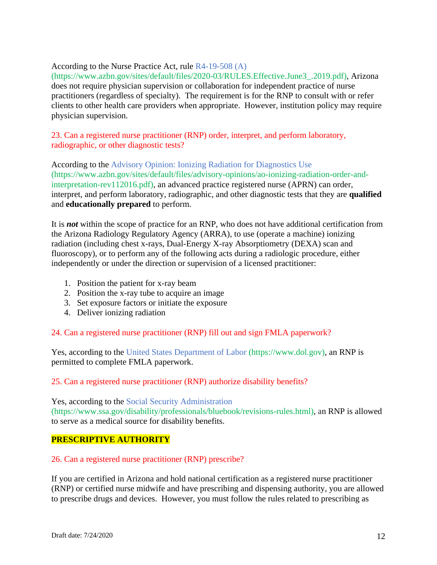## According to the Nurse Practice Act, rule R4-19-508 (A)

(https://www.azbn.gov/sites/default/files/2020-03/RULES.Effective.June3\_.2019.pdf), Arizona does not require physician supervision or collaboration for independent practice of nurse practitioners (regardless of specialty). The requirement is for the RNP to consult with or refer clients to other health care providers when appropriate. However, institution policy may require physician supervision.

## 23. Can a registered nurse practitioner (RNP) order, interpret, and perform laboratory, radiographic, or other diagnostic tests?

According to the Advisory Opinion: Ionizing Radiation for Diagnostics Use (https://www.azbn.gov/sites/default/files/advisory-opinions/ao-ionizing-radiation-order-andinterpretation-rev112016.pdf), an advanced practice registered nurse (APRN) can order, interpret, and perform laboratory, radiographic, and other diagnostic tests that they are **qualified**  and **educationally prepared** to perform.

It is *not* within the scope of practice for an RNP, who does not have additional certification from the Arizona Radiology Regulatory Agency (ARRA), to use (operate a machine) ionizing radiation (including chest x-rays, Dual-Energy X-ray Absorptiometry (DEXA) scan and fluoroscopy), or to perform any of the following acts during a radiologic procedure, either independently or under the direction or supervision of a licensed practitioner:

- 1. Position the patient for x-ray beam
- 2. Position the x-ray tube to acquire an image
- 3. Set exposure factors or initiate the exposure
- 4. Deliver ionizing radiation

### 24. Can a registered nurse practitioner (RNP) fill out and sign FMLA paperwork?

Yes, according to the United States Department of Labor (https://www.dol.gov), an RNP is permitted to complete FMLA paperwork.

### 25. Can a registered nurse practitioner (RNP) authorize disability benefits?

Yes, according to the Social Security Administration (https://www.ssa.gov/disability/professionals/bluebook/revisions-rules.html), an RNP is allowed to serve as a medical source for disability benefits.

# **PRESCRIPTIVE AUTHORITY**

### 26. Can a registered nurse practitioner (RNP) prescribe?

If you are certified in Arizona and hold national certification as a registered nurse practitioner (RNP) or certified nurse midwife and have prescribing and dispensing authority, you are allowed to prescribe drugs and devices. However, you must follow the rules related to prescribing as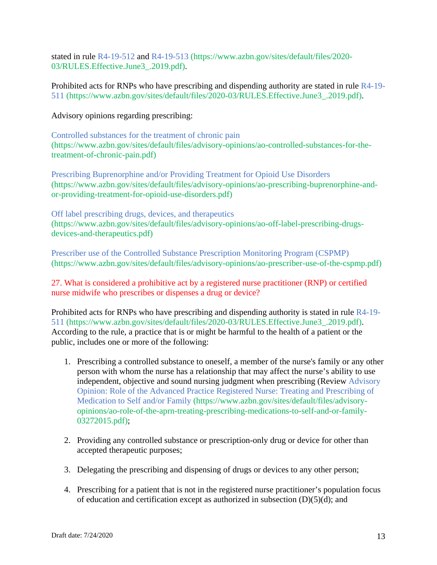stated in rule R4-19-512 and R4-19-513 (https://www.azbn.gov/sites/default/files/2020- 03/RULES.Effective.June3\_.2019.pdf).

Prohibited acts for RNPs who have prescribing and dispending authority are stated in rule R4-19- 511 (https://www.azbn.gov/sites/default/files/2020-03/RULES.Effective.June3\_.2019.pdf).

Advisory opinions regarding prescribing:

Controlled substances for the treatment of chronic pain (https://www.azbn.gov/sites/default/files/advisory-opinions/ao-controlled-substances-for-thetreatment-of-chronic-pain.pdf)

Prescribing Buprenorphine and/or Providing Treatment for Opioid Use Disorders (https://www.azbn.gov/sites/default/files/advisory-opinions/ao-prescribing-buprenorphine-andor-providing-treatment-for-opioid-use-disorders.pdf)

Off label prescribing drugs, devices, and therapeutics (https://www.azbn.gov/sites/default/files/advisory-opinions/ao-off-label-prescribing-drugsdevices-and-therapeutics.pdf)

Prescriber use of the Controlled Substance Prescription Monitoring Program (CSPMP) (https://www.azbn.gov/sites/default/files/advisory-opinions/ao-prescriber-use-of-the-cspmp.pdf)

27. What is considered a prohibitive act by a registered nurse practitioner (RNP) or certified nurse midwife who prescribes or dispenses a drug or device?

Prohibited acts for RNPs who have prescribing and dispending authority is stated in rule R4-19- 511 (https://www.azbn.gov/sites/default/files/2020-03/RULES.Effective.June3\_.2019.pdf). According to the rule, a practice that is or might be harmful to the health of a patient or the public, includes one or more of the following:

- 1. Prescribing a controlled substance to oneself, a member of the nurse's family or any other person with whom the nurse has a relationship that may affect the nurse's ability to use independent, objective and sound nursing judgment when prescribing (Review Advisory Opinion: Role of the Advanced Practice Registered Nurse: Treating and Prescribing of Medication to Self and/or Family (https://www.azbn.gov/sites/default/files/advisoryopinions/ao-role-of-the-aprn-treating-prescribing-medications-to-self-and-or-family-03272015.pdf);
- 2. Providing any controlled substance or prescription-only drug or device for other than accepted therapeutic purposes;
- 3. Delegating the prescribing and dispensing of drugs or devices to any other person;
- 4. Prescribing for a patient that is not in the registered nurse practitioner's population focus of education and certification except as authorized in subsection  $(D)(5)(d)$ ; and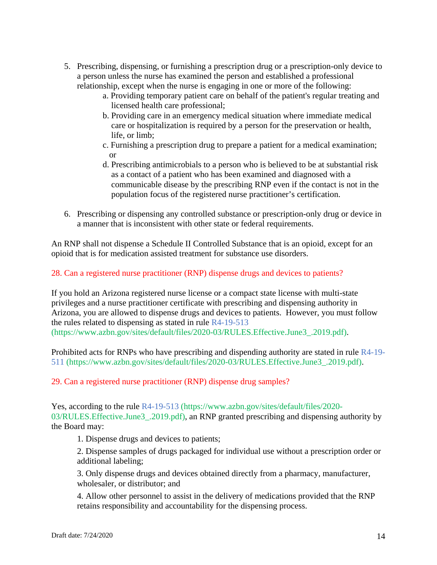- 5. Prescribing, dispensing, or furnishing a prescription drug or a prescription-only device to a person unless the nurse has examined the person and established a professional relationship, except when the nurse is engaging in one or more of the following:
	- a. Providing temporary patient care on behalf of the patient's regular treating and licensed health care professional;
	- b. Providing care in an emergency medical situation where immediate medical care or hospitalization is required by a person for the preservation or health, life, or limb;
	- c. Furnishing a prescription drug to prepare a patient for a medical examination; or
	- d. Prescribing antimicrobials to a person who is believed to be at substantial risk as a contact of a patient who has been examined and diagnosed with a communicable disease by the prescribing RNP even if the contact is not in the population focus of the registered nurse practitioner's certification.
- 6. Prescribing or dispensing any controlled substance or prescription-only drug or device in a manner that is inconsistent with other state or federal requirements.

An RNP shall not dispense a Schedule II Controlled Substance that is an opioid, except for an opioid that is for medication assisted treatment for substance use disorders.

28. Can a registered nurse practitioner (RNP) dispense drugs and devices to patients?

If you hold an Arizona registered nurse license or a compact state license with multi-state privileges and a nurse practitioner certificate with prescribing and dispensing authority in Arizona, you are allowed to dispense drugs and devices to patients. However, you must follow the rules related to dispensing as stated in rule R4-19-513 (https://www.azbn.gov/sites/default/files/2020-03/RULES.Effective.June3\_.2019.pdf).

Prohibited acts for RNPs who have prescribing and dispending authority are stated in rule R4-19- 511 (https://www.azbn.gov/sites/default/files/2020-03/RULES.Effective.June3\_.2019.pdf).

### 29. Can a registered nurse practitioner (RNP) dispense drug samples?

Yes, according to the rule R4-19-513 (https://www.azbn.gov/sites/default/files/2020- 03/RULES.Effective.June3\_.2019.pdf), an RNP granted prescribing and dispensing authority by the Board may:

1. Dispense drugs and devices to patients;

2. Dispense samples of drugs packaged for individual use without a prescription order or additional labeling;

3. Only dispense drugs and devices obtained directly from a pharmacy, manufacturer, wholesaler, or distributor; and

4. Allow other personnel to assist in the delivery of medications provided that the RNP retains responsibility and accountability for the dispensing process.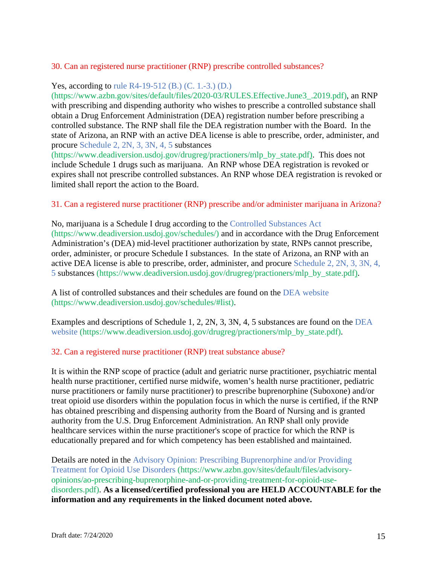## 30. Can an registered nurse practitioner (RNP) prescribe controlled substances?

Yes, according to rule R4-19-512 (B.) (C. 1.-3.) (D.)

(https://www.azbn.gov/sites/default/files/2020-03/RULES.Effective.June3\_.2019.pdf), an RNP with prescribing and dispending authority who wishes to prescribe a controlled substance shall obtain a Drug Enforcement Administration (DEA) registration number before prescribing a controlled substance. The RNP shall file the DEA registration number with the Board. In the state of Arizona, an RNP with an active DEA license is able to prescribe, order, administer, and procure Schedule 2, 2N, 3, 3N, 4, 5 substances

(https://www.deadiversion.usdoj.gov/drugreg/practioners/mlp\_by\_state.pdf). This does not include Schedule 1 drugs such as marijuana. An RNP whose DEA registration is revoked or expires shall not prescribe controlled substances. An RNP whose DEA registration is revoked or limited shall report the action to the Board.

31. Can a registered nurse practitioner (RNP) prescribe and/or administer marijuana in Arizona?

No, marijuana is a Schedule I drug according to the Controlled Substances Act (https://www.deadiversion.usdoj.gov/schedules/) and in accordance with the Drug Enforcement Administration's (DEA) mid-level practitioner authorization by state, RNPs cannot prescribe, order, administer, or procure Schedule I substances. In the state of Arizona, an RNP with an active DEA license is able to prescribe, order, administer, and procure Schedule 2, 2N, 3, 3N, 4, 5 substances (https://www.deadiversion.usdoj.gov/drugreg/practioners/mlp\_by\_state.pdf).

A list of controlled substances and their schedules are found on the DEA website (https://www.deadiversion.usdoj.gov/schedules/#list).

Examples and descriptions of Schedule 1, 2, 2N, 3, 3N, 4, 5 substances are found on the DEA website (https://www.deadiversion.usdoj.gov/drugreg/practioners/mlp\_by\_state.pdf).

### 32. Can a registered nurse practitioner (RNP) treat substance abuse?

It is within the RNP scope of practice (adult and geriatric nurse practitioner, psychiatric mental health nurse practitioner, certified nurse midwife, women's health nurse practitioner, pediatric nurse practitioners or family nurse practitioner) to prescribe buprenorphine (Suboxone) and/or treat opioid use disorders within the population focus in which the nurse is certified, if the RNP has obtained prescribing and dispensing authority from the Board of Nursing and is granted authority from the U.S. Drug Enforcement Administration. An RNP shall only provide healthcare services within the nurse practitioner's scope of practice for which the RNP is educationally prepared and for which competency has been established and maintained.

Details are noted in the Advisory Opinion: Prescribing Buprenorphine and/or Providing Treatment for Opioid Use Disorders (https://www.azbn.gov/sites/default/files/advisoryopinions/ao-prescribing-buprenorphine-and-or-providing-treatment-for-opioid-usedisorders.pdf). **As a licensed/certified professional you are HELD ACCOUNTABLE for the information and any requirements in the linked document noted above.**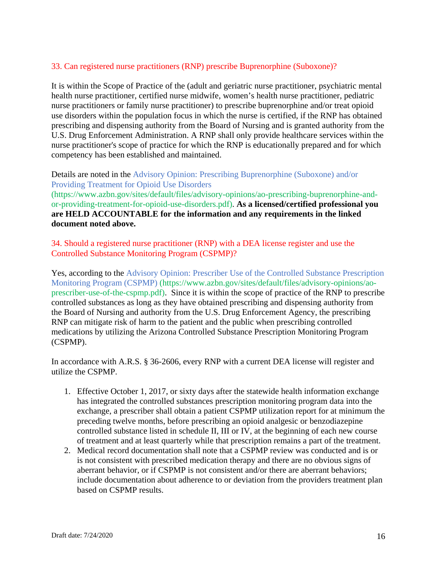# 33. Can registered nurse practitioners (RNP) prescribe Buprenorphine (Suboxone)?

It is within the Scope of Practice of the (adult and geriatric nurse practitioner, psychiatric mental health nurse practitioner, certified nurse midwife, women's health nurse practitioner, pediatric nurse practitioners or family nurse practitioner) to prescribe buprenorphine and/or treat opioid use disorders within the population focus in which the nurse is certified, if the RNP has obtained prescribing and dispensing authority from the Board of Nursing and is granted authority from the U.S. Drug Enforcement Administration. A RNP shall only provide healthcare services within the nurse practitioner's scope of practice for which the RNP is educationally prepared and for which competency has been established and maintained.

Details are noted in the Advisory Opinion: Prescribing Buprenorphine (Suboxone) and/or Providing Treatment for Opioid Use Disorders

(https://www.azbn.gov/sites/default/files/advisory-opinions/ao-prescribing-buprenorphine-andor-providing-treatment-for-opioid-use-disorders.pdf). **As a licensed/certified professional you are HELD ACCOUNTABLE for the information and any requirements in the linked document noted above.**

34. Should a registered nurse practitioner (RNP) with a DEA license register and use the Controlled Substance Monitoring Program (CSPMP)?

Yes, according to the Advisory Opinion: Prescriber Use of the Controlled Substance Prescription Monitoring Program (CSPMP) (https://www.azbn.gov/sites/default/files/advisory-opinions/aoprescriber-use-of-the-cspmp.pdf). Since it is within the scope of practice of the RNP to prescribe controlled substances as long as they have obtained prescribing and dispensing authority from the Board of Nursing and authority from the U.S. Drug Enforcement Agency, the prescribing RNP can mitigate risk of harm to the patient and the public when prescribing controlled medications by utilizing the Arizona Controlled Substance Prescription Monitoring Program (CSPMP).

In accordance with A.R.S. § 36-2606, every RNP with a current DEA license will register and utilize the CSPMP.

- 1. Effective October 1, 2017, or sixty days after the statewide health information exchange has integrated the controlled substances prescription monitoring program data into the exchange, a prescriber shall obtain a patient CSPMP utilization report for at minimum the preceding twelve months, before prescribing an opioid analgesic or benzodiazepine controlled substance listed in schedule II, III or IV, at the beginning of each new course of treatment and at least quarterly while that prescription remains a part of the treatment.
- 2. Medical record documentation shall note that a CSPMP review was conducted and is or is not consistent with prescribed medication therapy and there are no obvious signs of aberrant behavior, or if CSPMP is not consistent and/or there are aberrant behaviors; include documentation about adherence to or deviation from the providers treatment plan based on CSPMP results.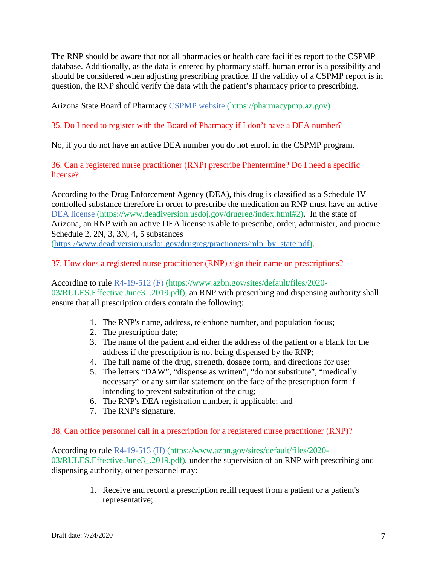The RNP should be aware that not all pharmacies or health care facilities report to the CSPMP database. Additionally, as the data is entered by pharmacy staff, human error is a possibility and should be considered when adjusting prescribing practice. If the validity of a CSPMP report is in question, the RNP should verify the data with the patient's pharmacy prior to prescribing.

Arizona State Board of Pharmacy CSPMP website (https://pharmacypmp.az.gov)

# 35. Do I need to register with the Board of Pharmacy if I don't have a DEA number?

No, if you do not have an active DEA number you do not enroll in the CSPMP program.

36. Can a registered nurse practitioner (RNP) prescribe Phentermine? Do I need a specific license?

According to the Drug Enforcement Agency (DEA), this drug is classified as a Schedule IV controlled substance therefore in order to prescribe the medication an RNP must have an active DEA license (https://www.deadiversion.usdoj.gov/drugreg/index.html#2). In the state of Arizona, an RNP with an active DEA license is able to prescribe, order, administer, and procure Schedule 2, 2N, 3, 3N, 4, 5 substances

[\(https://www.deadiversion.usdoj.gov/drugreg/practioners/mlp\\_by\\_state.pdf\)](https://www.deadiversion.usdoj.gov/drugreg/practioners/mlp_by_state.pdf).

## 37. How does a registered nurse practitioner (RNP) sign their name on prescriptions?

According to rule R4-19-512 (F) (https://www.azbn.gov/sites/default/files/2020- 03/RULES.Effective.June3\_.2019.pdf), an RNP with prescribing and dispensing authority shall ensure that all prescription orders contain the following:

- 1. The RNP's name, address, telephone number, and population focus;
- 2. The prescription date;
- 3. The name of the patient and either the address of the patient or a blank for the address if the prescription is not being dispensed by the RNP;
- 4. The full name of the drug, strength, dosage form, and directions for use;
- 5. The letters "DAW", "dispense as written", "do not substitute", "medically necessary" or any similar statement on the face of the prescription form if intending to prevent substitution of the drug;
- 6. The RNP's DEA registration number, if applicable; and
- 7. The RNP's signature.

### 38. Can office personnel call in a prescription for a registered nurse practitioner (RNP)?

According to rule R4-19-513 (H) (https://www.azbn.gov/sites/default/files/2020- 03/RULES.Effective.June3\_.2019.pdf), under the supervision of an RNP with prescribing and dispensing authority, other personnel may:

> 1. Receive and record a prescription refill request from a patient or a patient's representative;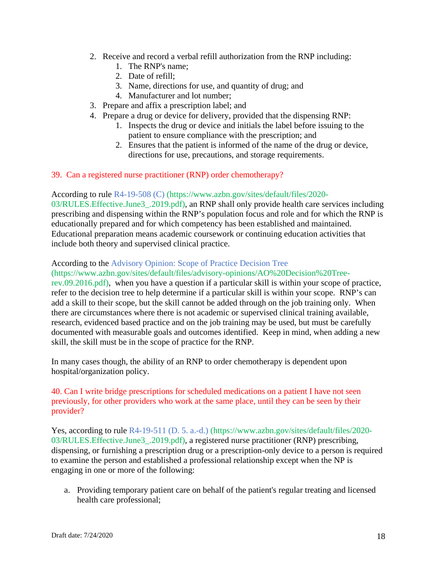- 2. Receive and record a verbal refill authorization from the RNP including:
	- 1. The RNP's name;
	- 2. Date of refill;
	- 3. Name, directions for use, and quantity of drug; and
	- 4. Manufacturer and lot number;
- 3. Prepare and affix a prescription label; and
- 4. Prepare a drug or device for delivery, provided that the dispensing RNP:
	- 1. Inspects the drug or device and initials the label before issuing to the patient to ensure compliance with the prescription; and
	- 2. Ensures that the patient is informed of the name of the drug or device, directions for use, precautions, and storage requirements.
- 39. Can a registered nurse practitioner (RNP) order chemotherapy?

According to rule R4-19-508 (C) (https://www.azbn.gov/sites/default/files/2020- 03/RULES. Effective. June 3. 2019.pdf), an RNP shall only provide health care services including prescribing and dispensing within the RNP's population focus and role and for which the RNP is educationally prepared and for which competency has been established and maintained. Educational preparation means academic coursework or continuing education activities that include both theory and supervised clinical practice.

#### According to the Advisory Opinion: Scope of Practice Decision Tree

(https://www.azbn.gov/sites/default/files/advisory-opinions/AO%20Decision%20Treerev.09.2016.pdf), when you have a question if a particular skill is within your scope of practice, refer to the decision tree to help determine if a particular skill is within your scope. RNP's can add a skill to their scope, but the skill cannot be added through on the job training only. When there are circumstances where there is not academic or supervised clinical training available, research, evidenced based practice and on the job training may be used, but must be carefully documented with measurable goals and outcomes identified. Keep in mind, when adding a new skill, the skill must be in the scope of practice for the RNP.

In many cases though, the ability of an RNP to order chemotherapy is dependent upon hospital/organization policy.

40. Can I write bridge prescriptions for scheduled medications on a patient I have not seen previously, for other providers who work at the same place, until they can be seen by their provider?

Yes, according to rule R4-19-511 (D. 5. a.-d.) (https://www.azbn.gov/sites/default/files/2020- 03/RULES.Effective.June3\_.2019.pdf), a registered nurse practitioner (RNP) prescribing, dispensing, or furnishing a prescription drug or a prescription-only device to a person is required to examine the person and established a professional relationship except when the NP is engaging in one or more of the following:

a. Providing temporary patient care on behalf of the patient's regular treating and licensed health care professional;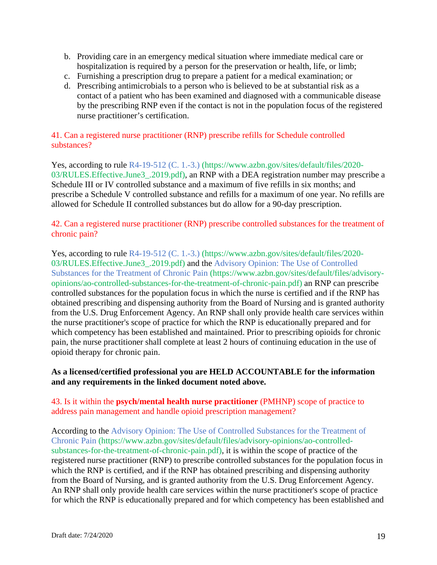- b. Providing care in an emergency medical situation where immediate medical care or hospitalization is required by a person for the preservation or health, life, or limb;
- c. Furnishing a prescription drug to prepare a patient for a medical examination; or
- d. Prescribing antimicrobials to a person who is believed to be at substantial risk as a contact of a patient who has been examined and diagnosed with a communicable disease by the prescribing RNP even if the contact is not in the population focus of the registered nurse practitioner's certification.

# 41. Can a registered nurse practitioner (RNP) prescribe refills for Schedule controlled substances?

Yes, according to rule R4-19-512 (C. 1.-3.) (https://www.azbn.gov/sites/default/files/2020- 03/RULES. Effective. June 3. 2019.pdf), an RNP with a DEA registration number may prescribe a Schedule III or IV controlled substance and a maximum of five refills in six months; and prescribe a Schedule V controlled substance and refills for a maximum of one year. No refills are allowed for Schedule II controlled substances but do allow for a 90-day prescription.

## 42. Can a registered nurse practitioner (RNP) prescribe controlled substances for the treatment of chronic pain?

Yes, according to rule R4-19-512 (C. 1.-3.) (https://www.azbn.gov/sites/default/files/2020- 03/RULES.Effective.June3\_.2019.pdf) and the Advisory Opinion: The Use of Controlled Substances for the Treatment of Chronic Pain (https://www.azbn.gov/sites/default/files/advisoryopinions/ao-controlled-substances-for-the-treatment-of-chronic-pain.pdf) an RNP can prescribe controlled substances for the population focus in which the nurse is certified and if the RNP has obtained prescribing and dispensing authority from the Board of Nursing and is granted authority from the U.S. Drug Enforcement Agency. An RNP shall only provide health care services within the nurse practitioner's scope of practice for which the RNP is educationally prepared and for which competency has been established and maintained. Prior to prescribing opioids for chronic pain, the nurse practitioner shall complete at least 2 hours of continuing education in the use of opioid therapy for chronic pain.

# **As a licensed/certified professional you are HELD ACCOUNTABLE for the information and any requirements in the linked document noted above.**

## 43. Is it within the **psych/mental health nurse practitioner** (PMHNP) scope of practice to address pain management and handle opioid prescription management?

According to the Advisory Opinion: The Use of Controlled Substances for the Treatment of Chronic Pain (https://www.azbn.gov/sites/default/files/advisory-opinions/ao-controlledsubstances-for-the-treatment-of-chronic-pain.pdf), it is within the scope of practice of the registered nurse practitioner (RNP) to prescribe controlled substances for the population focus in which the RNP is certified, and if the RNP has obtained prescribing and dispensing authority from the Board of Nursing, and is granted authority from the U.S. Drug Enforcement Agency. An RNP shall only provide health care services within the nurse practitioner's scope of practice for which the RNP is educationally prepared and for which competency has been established and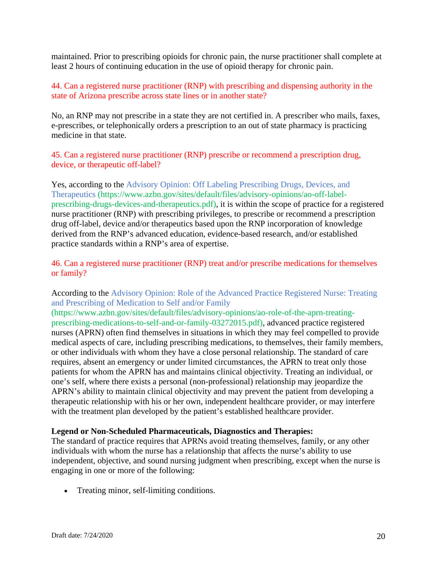maintained. Prior to prescribing opioids for chronic pain, the nurse practitioner shall complete at least 2 hours of continuing education in the use of opioid therapy for chronic pain.

## 44. Can a registered nurse practitioner (RNP) with prescribing and dispensing authority in the state of Arizona prescribe across state lines or in another state?

No, an RNP may not prescribe in a state they are not certified in. A prescriber who mails, faxes, e-prescribes, or telephonically orders a prescription to an out of state pharmacy is practicing medicine in that state.

45. Can a registered nurse practitioner (RNP) prescribe or recommend a prescription drug, device, or therapeutic off-label?

Yes, according to the Advisory Opinion: Off Labeling Prescribing Drugs, Devices, and Therapeutics (https://www.azbn.gov/sites/default/files/advisory-opinions/ao-off-labelprescribing-drugs-devices-and-therapeutics.pdf), it is within the scope of practice for a registered nurse practitioner (RNP) with prescribing privileges, to prescribe or recommend a prescription drug off-label, device and/or therapeutics based upon the RNP incorporation of knowledge derived from the RNP's advanced education, evidence-based research, and/or established practice standards within a RNP's area of expertise.

46. Can a registered nurse practitioner (RNP) treat and/or prescribe medications for themselves or family?

According to the Advisory Opinion: Role of the Advanced Practice Registered Nurse: Treating and Prescribing of Medication to Self and/or Family

(https://www.azbn.gov/sites/default/files/advisory-opinions/ao-role-of-the-aprn-treatingprescribing-medications-to-self-and-or-family-03272015.pdf), advanced practice registered nurses (APRN) often find themselves in situations in which they may feel compelled to provide medical aspects of care, including prescribing medications, to themselves, their family members, or other individuals with whom they have a close personal relationship. The standard of care requires, absent an emergency or under limited circumstances, the APRN to treat only those patients for whom the APRN has and maintains clinical objectivity. Treating an individual, or one's self, where there exists a personal (non-professional) relationship may jeopardize the APRN's ability to maintain clinical objectivity and may prevent the patient from developing a therapeutic relationship with his or her own, independent healthcare provider, or may interfere with the treatment plan developed by the patient's established healthcare provider.

### **Legend or Non-Scheduled Pharmaceuticals, Diagnostics and Therapies:**

The standard of practice requires that APRNs avoid treating themselves, family, or any other individuals with whom the nurse has a relationship that affects the nurse's ability to use independent, objective, and sound nursing judgment when prescribing, except when the nurse is engaging in one or more of the following:

• Treating minor, self-limiting conditions.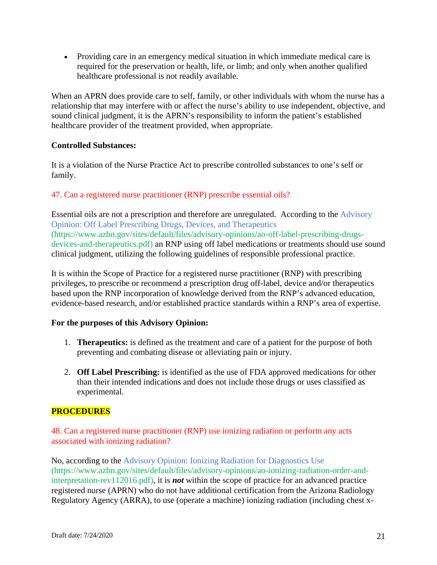• Providing care in an emergency medical situation in which immediate medical care is required for the preservation or health, life, or limb; and only when another qualified healthcare professional is not readily available.

When an APRN does provide care to self, family, or other individuals with whom the nurse has a relationship that may interfere with or affect the nurse's ability to use independent, objective, and sound clinical judgment, it is the APRN's responsibility to inform the patient's established healthcare provider of the treatment provided, when appropriate.

## **Controlled Substances:**

It is a violation of the Nurse Practice Act to prescribe controlled substances to one's self or family.

## 47. Can a registered nurse practitioner (RNP) prescribe essential oils?

Essential oils are not a prescription and therefore are unregulated. According to the Advisory Opinion: Off Label Prescribing Drugs, Devices, and Therapeutics (https://www.azbn.gov/sites/default/files/advisory-opinions/ao-off-label-prescribing-drugsdevices-and-therapeutics.pdf) an RNP using off label medications or treatments should use sound clinical judgment, utilizing the following guidelines of responsible professional practice.

It is within the Scope of Practice for a registered nurse practitioner (RNP) with prescribing privileges, to prescribe or recommend a prescription drug off-label, device and/or therapeutics based upon the RNP incorporation of knowledge derived from the RNP's advanced education, evidence-based research, and/or established practice standards within a RNP's area of expertise.

### **For the purposes of this Advisory Opinion:**

- 1. **Therapeutics:** is defined as the treatment and care of a patient for the purpose of both preventing and combating disease or alleviating pain or injury.
- 2. **Off Label Prescribing:** is identified as the use of FDA approved medications for other than their intended indications and does not include those drugs or uses classified as experimental.

# **PROCEDURES**

48. Can a registered nurse practitioner (RNP) use ionizing radiation or perform any acts associated with ionizing radiation?

No, according to the Advisory Opinion: Ionizing Radiation for Diagnostics Use (https://www.azbn.gov/sites/default/files/advisory-opinions/ao-ionizing-radiation-order-andinterpretation-rev112016.pdf), it is *not* within the scope of practice for an advanced practice registered nurse (APRN) who do not have additional certification from the Arizona Radiology Regulatory Agency (ARRA), to use (operate a machine) ionizing radiation (including chest x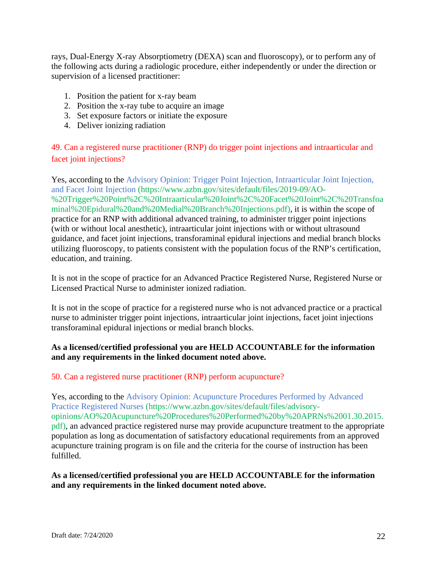rays, Dual-Energy X-ray Absorptiometry (DEXA) scan and fluoroscopy), or to perform any of the following acts during a radiologic procedure, either independently or under the direction or supervision of a licensed practitioner:

- 1. Position the patient for x-ray beam
- 2. Position the x-ray tube to acquire an image
- 3. Set exposure factors or initiate the exposure
- 4. Deliver ionizing radiation

49. Can a registered nurse practitioner (RNP) do trigger point injections and intraarticular and facet joint injections?

Yes, according to the Advisory Opinion: Trigger Point Injection, Intraarticular Joint Injection, and Facet Joint Injection (https://www.azbn.gov/sites/default/files/2019-09/AO- %20Trigger%20Point%2C%20Intraarticular%20Joint%2C%20Facet%20Joint%2C%20Transfoa minal%20Epidural%20and%20Medial%20Branch%20Injections.pdf), it is within the scope of practice for an RNP with additional advanced training, to administer trigger point injections (with or without local anesthetic), intraarticular joint injections with or without ultrasound guidance, and facet joint injections, transforaminal epidural injections and medial branch blocks utilizing fluoroscopy, to patients consistent with the population focus of the RNP's certification, education, and training.

It is not in the scope of practice for an Advanced Practice Registered Nurse, Registered Nurse or Licensed Practical Nurse to administer ionized radiation.

It is not in the scope of practice for a registered nurse who is not advanced practice or a practical nurse to administer trigger point injections, intraarticular joint injections, facet joint injections transforaminal epidural injections or medial branch blocks.

## **As a licensed/certified professional you are HELD ACCOUNTABLE for the information and any requirements in the linked document noted above.**

### 50. Can a registered nurse practitioner (RNP) perform acupuncture?

Yes, according to the Advisory Opinion: Acupuncture Procedures Performed by Advanced Practice Registered Nurses (https://www.azbn.gov/sites/default/files/advisoryopinions/AO%20Acupuncture%20Procedures%20Performed%20by%20APRNs%2001.30.2015. pdf), an advanced practice registered nurse may provide acupuncture treatment to the appropriate population as long as documentation of satisfactory educational requirements from an approved acupuncture training program is on file and the criteria for the course of instruction has been fulfilled.

### **As a licensed/certified professional you are HELD ACCOUNTABLE for the information and any requirements in the linked document noted above.**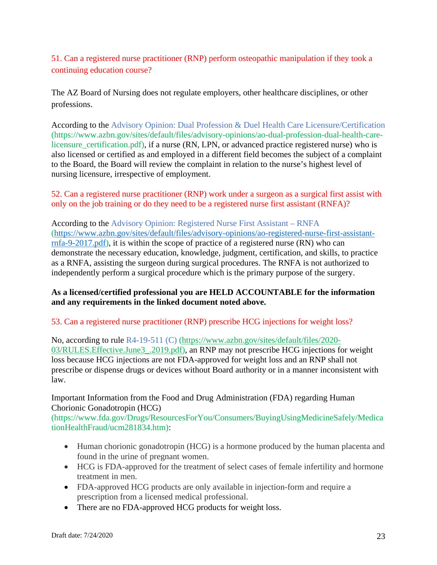51. Can a registered nurse practitioner (RNP) perform osteopathic manipulation if they took a continuing education course?

The AZ Board of Nursing does not regulate employers, other healthcare disciplines, or other professions.

According to the Advisory Opinion: Dual Profession & Duel Health Care Licensure/Certification (https://www.azbn.gov/sites/default/files/advisory-opinions/ao-dual-profession-dual-health-carelicensure\_certification.pdf), if a nurse (RN, LPN, or advanced practice registered nurse) who is also licensed or certified as and employed in a different field becomes the subject of a complaint to the Board, the Board will review the complaint in relation to the nurse's highest level of nursing licensure, irrespective of employment.

52. Can a registered nurse practitioner (RNP) work under a surgeon as a surgical first assist with only on the job training or do they need to be a registered nurse first assistant (RNFA)?

According to the Advisory Opinion: Registered Nurse First Assistant – RNFA [\(https://www.azbn.gov/sites/default/files/advisory-opinions/ao-registered-nurse-first-assistant](https://www.azbn.gov/sites/default/files/advisory-opinions/ao-registered-nurse-first-assistant-rnfa-9-2017.pdf)[rnfa-9-2017.pdf\)](https://www.azbn.gov/sites/default/files/advisory-opinions/ao-registered-nurse-first-assistant-rnfa-9-2017.pdf), it is within the scope of practice of a registered nurse (RN) who can demonstrate the necessary education, knowledge, judgment, certification, and skills, to practice as a RNFA, assisting the surgeon during surgical procedures. The RNFA is not authorized to independently perform a surgical procedure which is the primary purpose of the surgery.

## **As a licensed/certified professional you are HELD ACCOUNTABLE for the information and any requirements in the linked document noted above.**

### 53. Can a registered nurse practitioner (RNP) prescribe HCG injections for weight loss?

No, according to rule R4-19-511 (C) (https://www.azbn.gov/sites/default/files/2020- 03/RULES.Effective.June3\_.2019.pdf), an RNP may not prescribe HCG injections for weight loss because HCG injections are not FDA-approved for weight loss and an RNP shall not prescribe or dispense drugs or devices without Board authority or in a manner inconsistent with law.

## Important Information from the Food and Drug Administration (FDA) regarding Human Chorionic Gonadotropin (HCG)

(https://www.fda.gov/Drugs/ResourcesForYou/Consumers/BuyingUsingMedicineSafely/Medica tionHealthFraud/ucm281834.htm):

- Human chorionic gonadotropin (HCG) is a hormone produced by the human placenta and found in the urine of pregnant women.
- HCG is FDA-approved for the treatment of select cases of female infertility and hormone treatment in men.
- FDA-approved HCG products are only available in injection-form and require a prescription from a licensed medical professional.
- There are no FDA-approved HCG products for weight loss.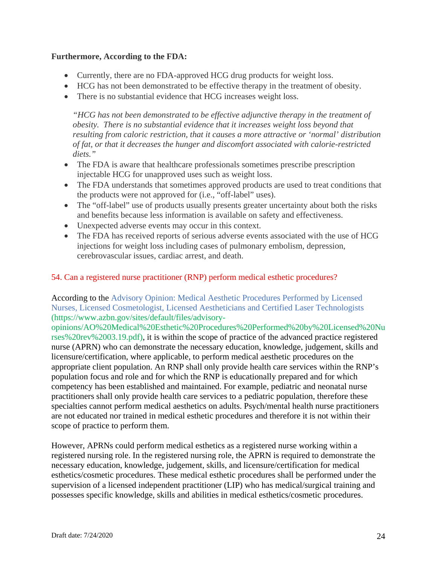## **Furthermore, According to the FDA:**

- Currently, there are no FDA-approved HCG drug products for weight loss.
- HCG has not been demonstrated to be effective therapy in the treatment of obesity.
- There is no substantial evidence that HCG increases weight loss.

*"HCG has not been demonstrated to be effective adjunctive therapy in the treatment of obesity. There is no substantial evidence that it increases weight loss beyond that resulting from caloric restriction, that it causes a more attractive or 'normal' distribution of fat, or that it decreases the hunger and discomfort associated with calorie-restricted diets."*

- The FDA is aware that healthcare professionals sometimes prescribe prescription injectable HCG for unapproved uses such as weight loss.
- The FDA understands that sometimes approved products are used to treat conditions that the products were not approved for (i.e., "off-label" uses).
- The "off-label" use of products usually presents greater uncertainty about both the risks and benefits because less information is available on safety and effectiveness.
- Unexpected adverse events may occur in this context.
- The FDA has received reports of serious adverse events associated with the use of HCG injections for weight loss including cases of pulmonary embolism, depression, cerebrovascular issues, cardiac arrest, and death.

### 54. Can a registered nurse practitioner (RNP) perform medical esthetic procedures?

According to the Advisory Opinion: Medical Aesthetic Procedures Performed by Licensed Nurses, Licensed Cosmetologist, Licensed Aestheticians and Certified Laser Technologists (https://www.azbn.gov/sites/default/files/advisory-

opinions/AO%20Medical%20Esthetic%20Procedures%20Performed%20by%20Licensed%20Nu rses%20rev%2003.19.pdf), it is within the scope of practice of the advanced practice registered nurse (APRN) who can demonstrate the necessary education, knowledge, judgement, skills and licensure/certification, where applicable, to perform medical aesthetic procedures on the appropriate client population. An RNP shall only provide health care services within the RNP's population focus and role and for which the RNP is educationally prepared and for which competency has been established and maintained. For example, pediatric and neonatal nurse practitioners shall only provide health care services to a pediatric population, therefore these specialties cannot perform medical aesthetics on adults. Psych/mental health nurse practitioners are not educated nor trained in medical esthetic procedures and therefore it is not within their scope of practice to perform them.

However, APRNs could perform medical esthetics as a registered nurse working within a registered nursing role. In the registered nursing role, the APRN is required to demonstrate the necessary education, knowledge, judgement, skills, and licensure/certification for medical esthetics/cosmetic procedures. These medical esthetic procedures shall be performed under the supervision of a licensed independent practitioner (LIP) who has medical/surgical training and possesses specific knowledge, skills and abilities in medical esthetics/cosmetic procedures.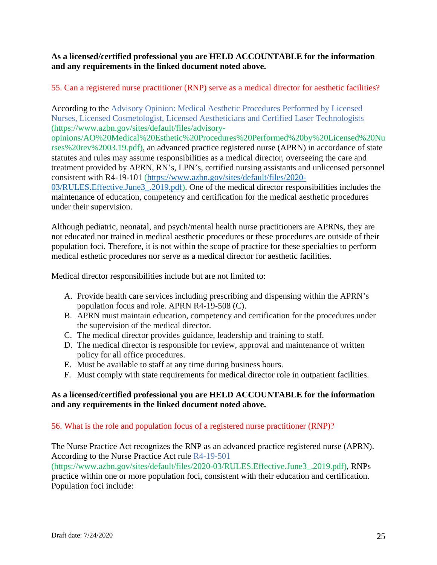## **As a licensed/certified professional you are HELD ACCOUNTABLE for the information and any requirements in the linked document noted above.**

# 55. Can a registered nurse practitioner (RNP) serve as a medical director for aesthetic facilities?

According to the Advisory Opinion: Medical Aesthetic Procedures Performed by Licensed Nurses, Licensed Cosmetologist, Licensed Aestheticians and Certified Laser Technologists (https://www.azbn.gov/sites/default/files/advisory-

opinions/AO%20Medical%20Esthetic%20Procedures%20Performed%20by%20Licensed%20Nu rses%20rev%2003.19.pdf), an advanced practice registered nurse (APRN) in accordance of state statutes and rules may assume responsibilities as a medical director, overseeing the care and treatment provided by APRN, RN's, LPN's, certified nursing assistants and unlicensed personnel consistent with R4-19-101 [\(https://www.azbn.gov/sites/default/files/2020-](https://www.azbn.gov/sites/default/files/2020-03/RULES.Effective.June3_.2019.pdf)

[03/RULES.Effective.June3\\_.2019.pdf\)](https://www.azbn.gov/sites/default/files/2020-03/RULES.Effective.June3_.2019.pdf). One of the medical director responsibilities includes the maintenance of education, competency and certification for the medical aesthetic procedures under their supervision.

Although pediatric, neonatal, and psych/mental health nurse practitioners are APRNs, they are not educated nor trained in medical aesthetic procedures or these procedures are outside of their population foci. Therefore, it is not within the scope of practice for these specialties to perform medical esthetic procedures nor serve as a medical director for aesthetic facilities.

Medical director responsibilities include but are not limited to:

- A. Provide health care services including prescribing and dispensing within the APRN's population focus and role. APRN R4-19-508 (C).
- B. APRN must maintain education, competency and certification for the procedures under the supervision of the medical director.
- C. The medical director provides guidance, leadership and training to staff.
- D. The medical director is responsible for review, approval and maintenance of written policy for all office procedures.
- E. Must be available to staff at any time during business hours.
- F. Must comply with state requirements for medical director role in outpatient facilities.

## **As a licensed/certified professional you are HELD ACCOUNTABLE for the information and any requirements in the linked document noted above.**

### 56. What is the role and population focus of a registered nurse practitioner (RNP)?

The Nurse Practice Act recognizes the RNP as an advanced practice registered nurse (APRN). According to the Nurse Practice Act rule R4-19-501

(https://www.azbn.gov/sites/default/files/2020-03/RULES.Effective.June3\_.2019.pdf), RNPs practice within one or more population foci, consistent with their education and certification. Population foci include: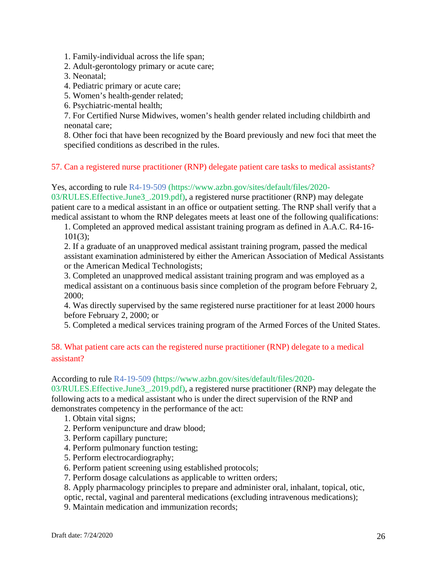1. Family-individual across the life span;

- 2. Adult-gerontology primary or acute care;
- 3. Neonatal;
- 4. Pediatric primary or acute care;
- 5. Women's health-gender related;
- 6. Psychiatric-mental health;

7. For Certified Nurse Midwives, women's health gender related including childbirth and neonatal care;

8. Other foci that have been recognized by the Board previously and new foci that meet the specified conditions as described in the rules.

57. Can a registered nurse practitioner (RNP) delegate patient care tasks to medical assistants?

Yes, according to rule R4-19-509 (https://www.azbn.gov/sites/default/files/2020-

03/RULES.Effective.June3\_.2019.pdf), a registered nurse practitioner (RNP) may delegate patient care to a medical assistant in an office or outpatient setting. The RNP shall verify that a medical assistant to whom the RNP delegates meets at least one of the following qualifications:

1. Completed an approved medical assistant training program as defined in A.A.C. R4-16- 101(3);

2. If a graduate of an unapproved medical assistant training program, passed the medical assistant examination administered by either the American Association of Medical Assistants or the American Medical Technologists;

3. Completed an unapproved medical assistant training program and was employed as a medical assistant on a continuous basis since completion of the program before February 2, 2000;

4. Was directly supervised by the same registered nurse practitioner for at least 2000 hours before February 2, 2000; or

5. Completed a medical services training program of the Armed Forces of the United States.

# 58. What patient care acts can the registered nurse practitioner (RNP) delegate to a medical assistant?

#### According to rule R4-19-509 (https://www.azbn.gov/sites/default/files/2020-

03/RULES.Effective.June3\_.2019.pdf), a registered nurse practitioner (RNP) may delegate the following acts to a medical assistant who is under the direct supervision of the RNP and demonstrates competency in the performance of the act:

- 1. Obtain vital signs;
- 2. Perform venipuncture and draw blood;
- 3. Perform capillary puncture;
- 4. Perform pulmonary function testing;
- 5. Perform electrocardiography;
- 6. Perform patient screening using established protocols;
- 7. Perform dosage calculations as applicable to written orders;

8. Apply pharmacology principles to prepare and administer oral, inhalant, topical, otic,

optic, rectal, vaginal and parenteral medications (excluding intravenous medications);

9. Maintain medication and immunization records;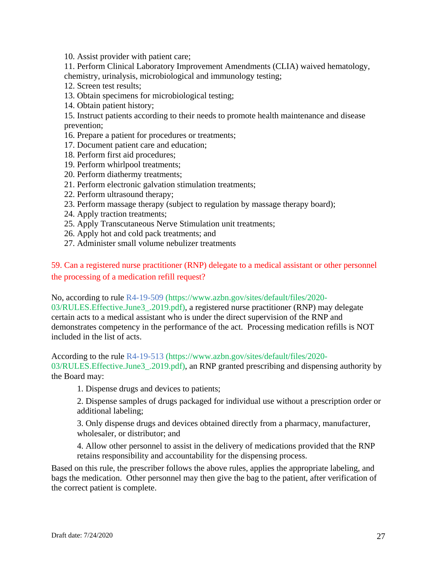10. Assist provider with patient care;

11. Perform Clinical Laboratory Improvement Amendments (CLIA) waived hematology, chemistry, urinalysis, microbiological and immunology testing;

- 12. Screen test results;
- 13. Obtain specimens for microbiological testing;
- 14. Obtain patient history;

15. Instruct patients according to their needs to promote health maintenance and disease prevention;

- 16. Prepare a patient for procedures or treatments;
- 17. Document patient care and education;
- 18. Perform first aid procedures;
- 19. Perform whirlpool treatments;
- 20. Perform diathermy treatments;
- 21. Perform electronic galvation stimulation treatments;
- 22. Perform ultrasound therapy;
- 23. Perform massage therapy (subject to regulation by massage therapy board);
- 24. Apply traction treatments;
- 25. Apply Transcutaneous Nerve Stimulation unit treatments;
- 26. Apply hot and cold pack treatments; and
- 27. Administer small volume nebulizer treatments

59. Can a registered nurse practitioner (RNP) delegate to a medical assistant or other personnel the processing of a medication refill request?

No, according to rule R4-19-509 (https://www.azbn.gov/sites/default/files/2020- 03/RULES.Effective.June3\_.2019.pdf), a registered nurse practitioner (RNP) may delegate certain acts to a medical assistant who is under the direct supervision of the RNP and demonstrates competency in the performance of the act. Processing medication refills is NOT included in the list of acts.

According to the rule R4-19-513 (https://www.azbn.gov/sites/default/files/2020- 03/RULES. Effective. June 3. 2019.pdf), an RNP granted prescribing and dispensing authority by the Board may:

1. Dispense drugs and devices to patients;

2. Dispense samples of drugs packaged for individual use without a prescription order or additional labeling;

3. Only dispense drugs and devices obtained directly from a pharmacy, manufacturer, wholesaler, or distributor; and

4. Allow other personnel to assist in the delivery of medications provided that the RNP retains responsibility and accountability for the dispensing process.

Based on this rule, the prescriber follows the above rules, applies the appropriate labeling, and bags the medication. Other personnel may then give the bag to the patient, after verification of the correct patient is complete.